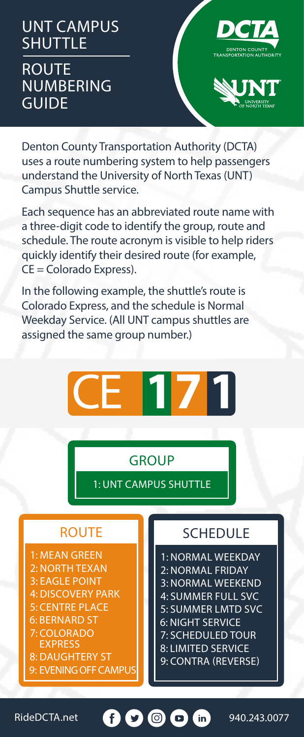UNT CAMPUS **SHUTTLE** ROUTE NUMBERING **GUIDE** 





Denton County Transportation Authority (DCTA) uses a route numbering system to help passengers understand the University of North Texas (UNT) Campus Shuttle service.

Each sequence has an abbreviated route name with a three-digit code to identify the group, route and schedule. The route acronym is visible to help riders quickly identify their desired route (for example, CE = Colorado Express).

In the following example, the shuttle's route is Colorado Express, and the schedule is Normal Weekday Service. (All UNT campus shuttles are assigned the same group number.)



## **GROUP**

1: UNT CAMPUS SHUTTLE

## ROUTE

1: MEAN GREEN 2: NORTH TEXAN

- 3: EAGLE POINT
- 4: DISCOVERY PARK
- 5: CENTRE PLACE
- 6: BERNARD ST 7: COLORADO
- EXPRESS
- 8: DAUGHTERY ST 9: EVENING OFF CAMPUS

## SCHEDULE

1: NORMAL WEEKDAY 2: NORMAL FRIDAY 3: NORMAL WEEKEND 4: SUMMER FULL SVC 5: SUMMER LMTD SVC 6: NIGHT SERVICE 7: SCHEDULED TOUR 8: LIMITED SERVICE 9: CONTRA (REVERSE)

RideDCTA.net **940.243.0077**